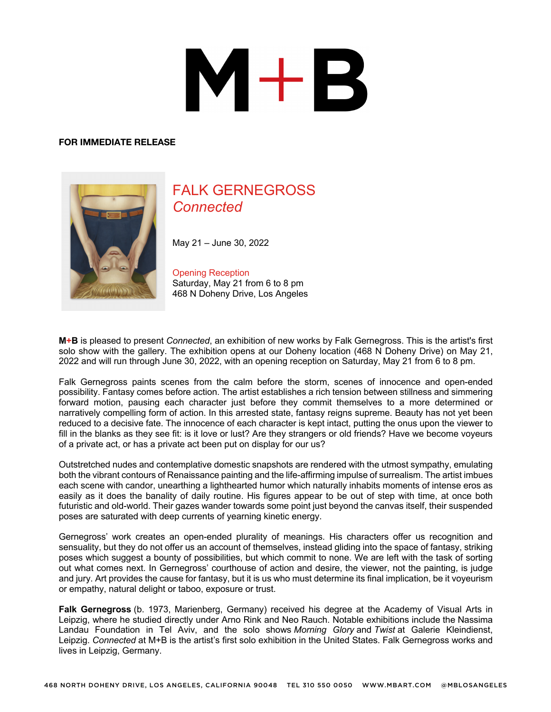# $M+B$

#### **FOR IMMEDIATE RELEASE**



## FALK GERNEGROSS *Connected*

May 21 – June 30, 2022

### Opening Reception

Saturday, May 21 from 6 to 8 pm 468 N Doheny Drive, Los Angeles

**M+B** is pleased to present *Connected*, an exhibition of new works by Falk Gernegross. This is the artist's first solo show with the gallery. The exhibition opens at our Doheny location (468 N Doheny Drive) on May 21, 2022 and will run through June 30, 2022, with an opening reception on Saturday, May 21 from 6 to 8 pm.

Falk Gernegross paints scenes from the calm before the storm, scenes of innocence and open-ended possibility. Fantasy comes before action. The artist establishes a rich tension between stillness and simmering forward motion, pausing each character just before they commit themselves to a more determined or narratively compelling form of action. In this arrested state, fantasy reigns supreme. Beauty has not yet been reduced to a decisive fate. The innocence of each character is kept intact, putting the onus upon the viewer to fill in the blanks as they see fit: is it love or lust? Are they strangers or old friends? Have we become voyeurs of a private act, or has a private act been put on display for our us?

Outstretched nudes and contemplative domestic snapshots are rendered with the utmost sympathy, emulating both the vibrant contours of Renaissance painting and the life-affirming impulse of surrealism. The artist imbues each scene with candor, unearthing a lighthearted humor which naturally inhabits moments of intense eros as easily as it does the banality of daily routine. His figures appear to be out of step with time, at once both futuristic and old-world. Their gazes wander towards some point just beyond the canvas itself, their suspended poses are saturated with deep currents of yearning kinetic energy.

Gernegross' work creates an open-ended plurality of meanings. His characters offer us recognition and sensuality, but they do not offer us an account of themselves, instead gliding into the space of fantasy, striking poses which suggest a bounty of possibilities, but which commit to none. We are left with the task of sorting out what comes next. In Gernegross' courthouse of action and desire, the viewer, not the painting, is judge and jury. Art provides the cause for fantasy, but it is us who must determine its final implication, be it voyeurism or empathy, natural delight or taboo, exposure or trust.

**Falk Gernegross** (b. 1973, Marienberg, Germany) received his degree at the Academy of Visual Arts in Leipzig, where he studied directly under Arno Rink and Neo Rauch. Notable exhibitions include the Nassima Landau Foundation in Tel Aviv, and the solo shows *Morning Glory* and *Twist* at Galerie Kleindienst, Leipzig. *Connected* at M+B is the artist's first solo exhibition in the United States. Falk Gernegross works and lives in Leipzig, Germany.